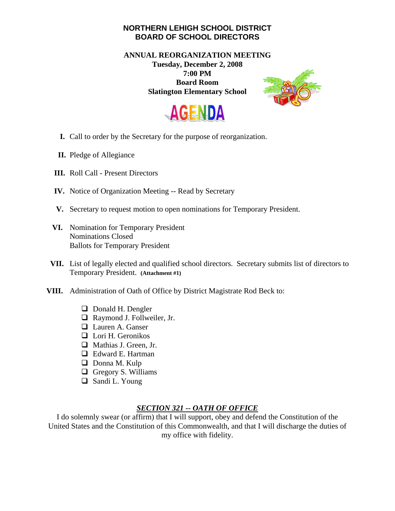## **NORTHERN LEHIGH SCHOOL DISTRICT BOARD OF SCHOOL DIRECTORS**

**ANNUAL REORGANIZATION MEETING Tuesday, December 2, 2008 7:00 PM Board Room Slatington Elementary School** 





- **I.** Call to order by the Secretary for the purpose of reorganization.
- **II.** Pledge of Allegiance
- **III.** Roll Call Present Directors
- **IV.** Notice of Organization Meeting -- Read by Secretary
- **V.** Secretary to request motion to open nominations for Temporary President.
- **VI.** Nomination for Temporary President Nominations Closed Ballots for Temporary President
- **VII.** List of legally elected and qualified school directors. Secretary submits list of directors to Temporary President. **(Attachment #1)**
- **VIII.** Administration of Oath of Office by District Magistrate Rod Beck to:
	- **D** Donald H. Dengler
	- □ Raymond J. Follweiler, Jr.
	- **Lauren A. Ganser**
	- $\Box$  Lori H. Geronikos
	- Mathias J. Green, Jr.
	- □ Edward E. Hartman
	- $\Box$  Donna M. Kulp
	- $\Box$  Gregory S. Williams
	- Sandi L. Young

## *SECTION 321 -- OATH OF OFFICE*

I do solemnly swear (or affirm) that I will support, obey and defend the Constitution of the United States and the Constitution of this Commonwealth, and that I will discharge the duties of my office with fidelity.